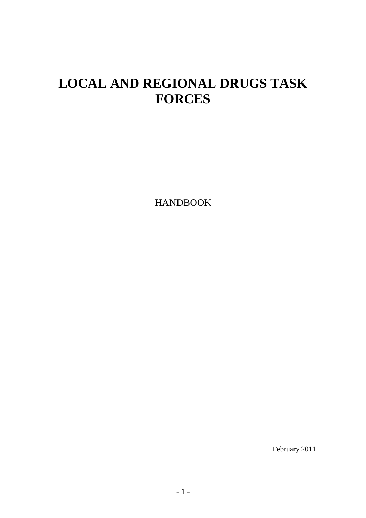# **LOCAL AND REGIONAL DRUGS TASK FORCES**

HANDBOOK

February 2011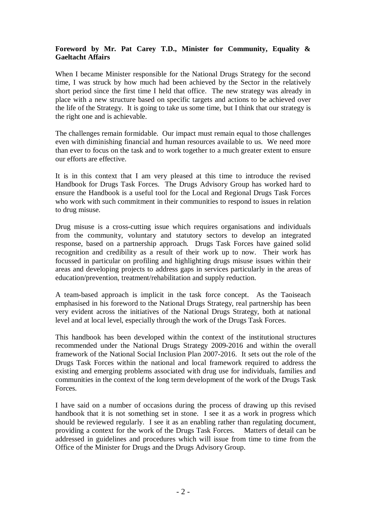#### **Foreword by Mr. Pat Carey T.D., Minister for Community, Equality & Gaeltacht Affairs**

When I became Minister responsible for the National Drugs Strategy for the second time, I was struck by how much had been achieved by the Sector in the relatively short period since the first time I held that office. The new strategy was already in place with a new structure based on specific targets and actions to be achieved over the life of the Strategy. It is going to take us some time, but I think that our strategy is the right one and is achievable.

The challenges remain formidable. Our impact must remain equal to those challenges even with diminishing financial and human resources available to us. We need more than ever to focus on the task and to work together to a much greater extent to ensure our efforts are effective.

It is in this context that I am very pleased at this time to introduce the revised Handbook for Drugs Task Forces. The Drugs Advisory Group has worked hard to ensure the Handbook is a useful tool for the Local and Regional Drugs Task Forces who work with such commitment in their communities to respond to issues in relation to drug misuse.

Drug misuse is a cross-cutting issue which requires organisations and individuals from the community, voluntary and statutory sectors to develop an integrated response, based on a partnership approach. Drugs Task Forces have gained solid recognition and credibility as a result of their work up to now. Their work has focussed in particular on profiling and highlighting drugs misuse issues within their areas and developing projects to address gaps in services particularly in the areas of education/prevention, treatment/rehabilitation and supply reduction.

A team-based approach is implicit in the task force concept. As the Taoiseach emphasised in his foreword to the National Drugs Strategy, real partnership has been very evident across the initiatives of the National Drugs Strategy, both at national level and at local level, especially through the work of the Drugs Task Forces.

This handbook has been developed within the context of the institutional structures recommended under the National Drugs Strategy 2009-2016 and within the overall framework of the National Social Inclusion Plan 2007-2016. It sets out the role of the Drugs Task Forces within the national and local framework required to address the existing and emerging problems associated with drug use for individuals, families and communities in the context of the long term development of the work of the Drugs Task Forces.

I have said on a number of occasions during the process of drawing up this revised handbook that it is not something set in stone. I see it as a work in progress which should be reviewed regularly. I see it as an enabling rather than regulating document, providing a context for the work of the Drugs Task Forces. Matters of detail can be addressed in guidelines and procedures which will issue from time to time from the Office of the Minister for Drugs and the Drugs Advisory Group.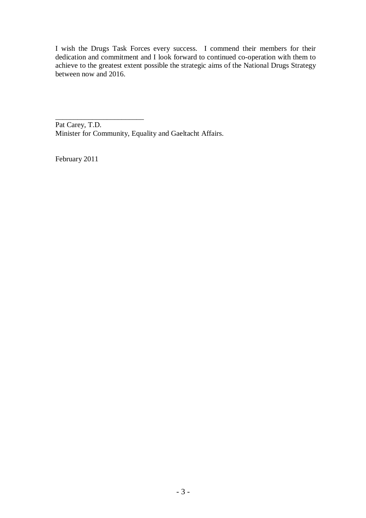I wish the Drugs Task Forces every success. I commend their members for their dedication and commitment and I look forward to continued co-operation with them to achieve to the greatest extent possible the strategic aims of the National Drugs Strategy between now and 2016.

\_\_\_\_\_\_\_\_\_\_\_\_\_\_\_\_\_\_\_\_\_\_\_\_ Pat Carey, T.D. Minister for Community, Equality and Gaeltacht Affairs.

February 2011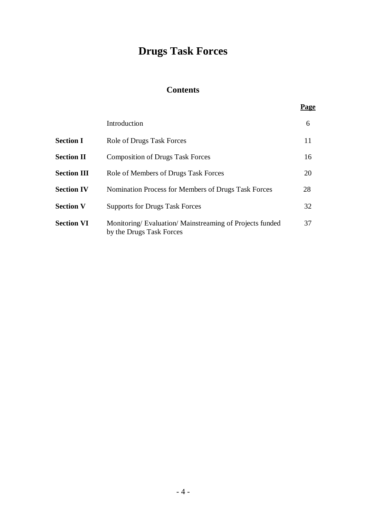# **Drugs Task Forces**

# **Contents**

|                    | Introduction                                                                       | 6  |
|--------------------|------------------------------------------------------------------------------------|----|
| <b>Section I</b>   | Role of Drugs Task Forces                                                          | 11 |
| <b>Section II</b>  | <b>Composition of Drugs Task Forces</b>                                            | 16 |
| <b>Section III</b> | Role of Members of Drugs Task Forces                                               | 20 |
| <b>Section IV</b>  | Nomination Process for Members of Drugs Task Forces                                | 28 |
| <b>Section V</b>   | <b>Supports for Drugs Task Forces</b>                                              | 32 |
| <b>Section VI</b>  | Monitoring/Evaluation/Mainstreaming of Projects funded<br>by the Drugs Task Forces | 37 |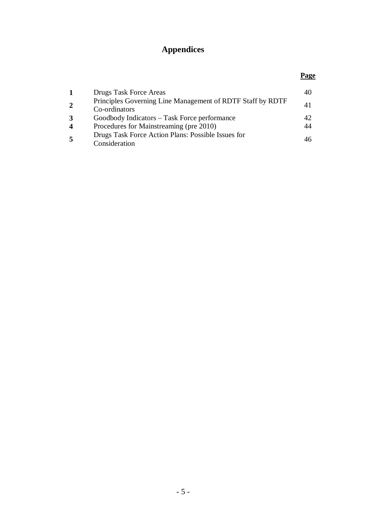# **Appendices**

#### **Page 1** Drugs Task Force Areas 40 **2** Principles Governing Line Management of RDTF Staff by RDTF Co-ordinators 41 **3** Goodbody Indicators – Task Force performance 42 **4** Procedures for Mainstreaming (pre 2010) 44 **5** Drugs Task Force Action Plans: Possible Issues for Consideration <sup>46</sup>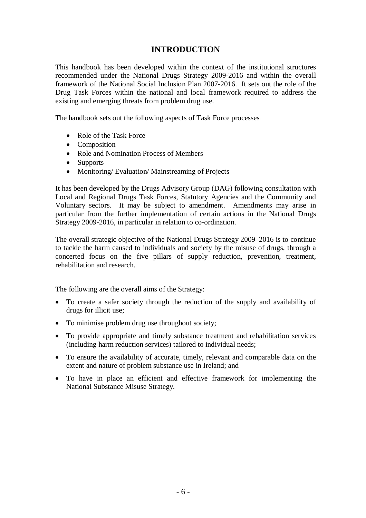## **INTRODUCTION**

This handbook has been developed within the context of the institutional structures recommended under the National Drugs Strategy 2009-2016 and within the overall framework of the National Social Inclusion Plan 2007-2016. It sets out the role of the Drug Task Forces within the national and local framework required to address the existing and emerging threats from problem drug use.

The handbook sets out the following aspects of Task Force processes:

- Role of the Task Force
- Composition
- Role and Nomination Process of Members
- Supports
- Monitoring/ Evaluation/ Mainstreaming of Projects

It has been developed by the Drugs Advisory Group (DAG) following consultation with Local and Regional Drugs Task Forces, Statutory Agencies and the Community and Voluntary sectors. It may be subject to amendment. Amendments may arise in particular from the further implementation of certain actions in the National Drugs Strategy 2009-2016, in particular in relation to co-ordination.

The overall strategic objective of the National Drugs Strategy 2009–2016 is to continue to tackle the harm caused to individuals and society by the misuse of drugs, through a concerted focus on the five pillars of supply reduction, prevention, treatment, rehabilitation and research.

The following are the overall aims of the Strategy:

- To create a safer society through the reduction of the supply and availability of drugs for illicit use;
- To minimise problem drug use throughout society;
- To provide appropriate and timely substance treatment and rehabilitation services (including harm reduction services) tailored to individual needs;
- To ensure the availability of accurate, timely, relevant and comparable data on the extent and nature of problem substance use in Ireland; and
- To have in place an efficient and effective framework for implementing the National Substance Misuse Strategy.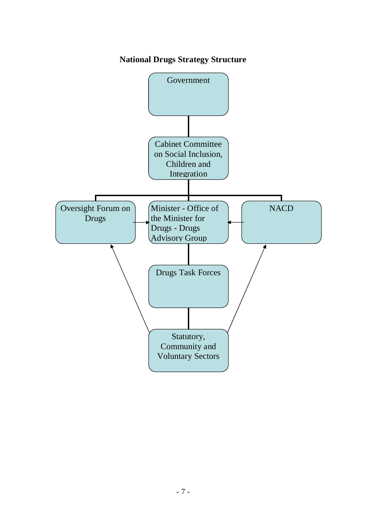# **National Drugs Strategy Structure**

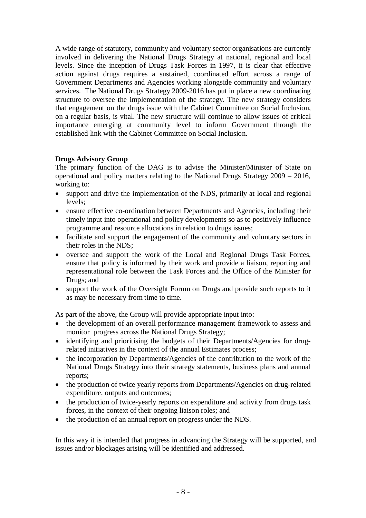A wide range of statutory, community and voluntary sector organisations are currently involved in delivering the National Drugs Strategy at national, regional and local levels. Since the inception of Drugs Task Forces in 1997, it is clear that effective action against drugs requires a sustained, coordinated effort across a range of Government Departments and Agencies working alongside community and voluntary services. The National Drugs Strategy 2009-2016 has put in place a new coordinating structure to oversee the implementation of the strategy. The new strategy considers that engagement on the drugs issue with the Cabinet Committee on Social Inclusion, on a regular basis, is vital. The new structure will continue to allow issues of critical importance emerging at community level to inform Government through the established link with the Cabinet Committee on Social Inclusion.

#### **Drugs Advisory Group**

The primary function of the DAG is to advise the Minister/Minister of State on operational and policy matters relating to the National Drugs Strategy 2009 – 2016, working to:

- support and drive the implementation of the NDS, primarily at local and regional levels;
- ensure effective co-ordination between Departments and Agencies, including their timely input into operational and policy developments so as to positively influence programme and resource allocations in relation to drugs issues;
- facilitate and support the engagement of the community and voluntary sectors in their roles in the NDS;
- oversee and support the work of the Local and Regional Drugs Task Forces, ensure that policy is informed by their work and provide a liaison, reporting and representational role between the Task Forces and the Office of the Minister for Drugs; and
- support the work of the Oversight Forum on Drugs and provide such reports to it as may be necessary from time to time.

As part of the above, the Group will provide appropriate input into:

- the development of an overall performance management framework to assess and monitor progress across the National Drugs Strategy;
- identifying and prioritising the budgets of their Departments/Agencies for drugrelated initiatives in the context of the annual Estimates process;
- the incorporation by Departments/Agencies of the contribution to the work of the National Drugs Strategy into their strategy statements, business plans and annual reports;
- the production of twice yearly reports from Departments/Agencies on drug-related expenditure, outputs and outcomes;
- the production of twice-yearly reports on expenditure and activity from drugs task forces, in the context of their ongoing liaison roles; and
- the production of an annual report on progress under the NDS.

In this way it is intended that progress in advancing the Strategy will be supported, and issues and/or blockages arising will be identified and addressed.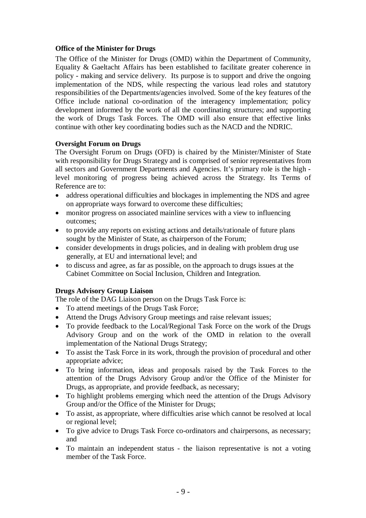#### **Office of the Minister for Drugs**

The Office of the Minister for Drugs (OMD) within the Department of Community, Equality & Gaeltacht Affairs has been established to facilitate greater coherence in policy - making and service delivery. Its purpose is to support and drive the ongoing implementation of the NDS, while respecting the various lead roles and statutory responsibilities of the Departments/agencies involved. Some of the key features of the Office include national co-ordination of the interagency implementation; policy development informed by the work of all the coordinating structures; and supporting the work of Drugs Task Forces. The OMD will also ensure that effective links continue with other key coordinating bodies such as the NACD and the NDRIC.

#### **Oversight Forum on Drugs**

The Oversight Forum on Drugs (OFD) is chaired by the Minister/Minister of State with responsibility for Drugs Strategy and is comprised of senior representatives from all sectors and Government Departments and Agencies. It's primary role is the high level monitoring of progress being achieved across the Strategy. Its Terms of Reference are to:

- address operational difficulties and blockages in implementing the NDS and agree on appropriate ways forward to overcome these difficulties;
- monitor progress on associated mainline services with a view to influencing outcomes;
- to provide any reports on existing actions and details/rationale of future plans sought by the Minister of State, as chairperson of the Forum;
- consider developments in drugs policies, and in dealing with problem drug use generally, at EU and international level; and
- to discuss and agree, as far as possible, on the approach to drugs issues at the Cabinet Committee on Social Inclusion, Children and Integration.

#### **Drugs Advisory Group Liaison**

The role of the DAG Liaison person on the Drugs Task Force is:

- To attend meetings of the Drugs Task Force;
- Attend the Drugs Advisory Group meetings and raise relevant issues;
- To provide feedback to the Local/Regional Task Force on the work of the Drugs Advisory Group and on the work of the OMD in relation to the overall implementation of the National Drugs Strategy;
- To assist the Task Force in its work, through the provision of procedural and other appropriate advice;
- To bring information, ideas and proposals raised by the Task Forces to the attention of the Drugs Advisory Group and/or the Office of the Minister for Drugs, as appropriate, and provide feedback, as necessary;
- To highlight problems emerging which need the attention of the Drugs Advisory Group and/or the Office of the Minister for Drugs;
- To assist, as appropriate, where difficulties arise which cannot be resolved at local or regional level;
- To give advice to Drugs Task Force co-ordinators and chairpersons, as necessary; and
- To maintain an independent status the liaison representative is not a voting member of the Task Force.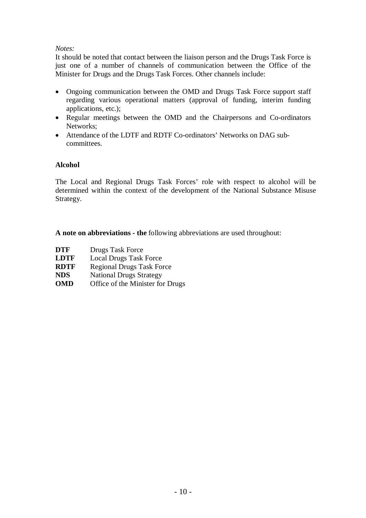#### *Notes:*

It should be noted that contact between the liaison person and the Drugs Task Force is just one of a number of channels of communication between the Office of the Minister for Drugs and the Drugs Task Forces. Other channels include:

- Ongoing communication between the OMD and Drugs Task Force support staff regarding various operational matters (approval of funding, interim funding applications, etc.);
- Regular meetings between the OMD and the Chairpersons and Co-ordinators Networks;
- Attendance of the LDTF and RDTF Co-ordinators' Networks on DAG subcommittees.

#### **Alcohol**

The Local and Regional Drugs Task Forces' role with respect to alcohol will be determined within the context of the development of the National Substance Misuse Strategy.

**A note on abbreviations - the** following abbreviations are used throughout:

**DTF** Drugs Task Force **LDTF** Local Drugs Task Force **RDTF** Regional Drugs Task Force **NDS** National Drugs Strategy **OMD** Office of the Minister for Drugs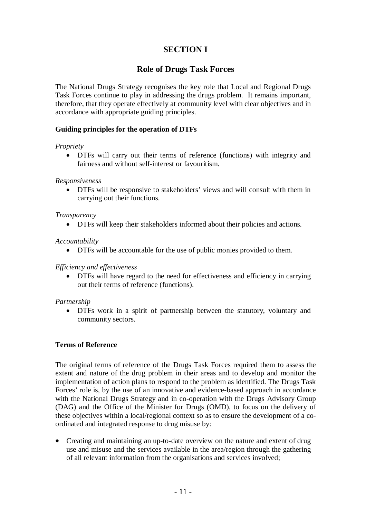# **SECTION I**

## **Role of Drugs Task Forces**

The National Drugs Strategy recognises the key role that Local and Regional Drugs Task Forces continue to play in addressing the drugs problem. It remains important, therefore, that they operate effectively at community level with clear objectives and in accordance with appropriate guiding principles.

#### **Guiding principles for the operation of DTFs**

#### *Propriety*

 DTFs will carry out their terms of reference (functions) with integrity and fairness and without self-interest or favouritism.

#### *Responsiveness*

 DTFs will be responsive to stakeholders' views and will consult with them in carrying out their functions.

#### *Transparency*

DTFs will keep their stakeholders informed about their policies and actions.

#### *Accountability*

DTFs will be accountable for the use of public monies provided to them.

#### *Efficiency and effectiveness*

 DTFs will have regard to the need for effectiveness and efficiency in carrying out their terms of reference (functions).

#### *Partnership*

 DTFs work in a spirit of partnership between the statutory, voluntary and community sectors.

#### **Terms of Reference**

The original terms of reference of the Drugs Task Forces required them to assess the extent and nature of the drug problem in their areas and to develop and monitor the implementation of action plans to respond to the problem as identified. The Drugs Task Forces' role is, by the use of an innovative and evidence-based approach in accordance with the National Drugs Strategy and in co-operation with the Drugs Advisory Group (DAG) and the Office of the Minister for Drugs (OMD), to focus on the delivery of these objectives within a local/regional context so as to ensure the development of a coordinated and integrated response to drug misuse by:

• Creating and maintaining an up-to-date overview on the nature and extent of drug use and misuse and the services available in the area/region through the gathering of all relevant information from the organisations and services involved;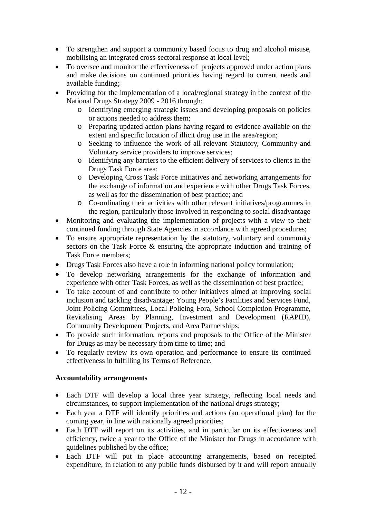- To strengthen and support a community based focus to drug and alcohol misuse, mobilising an integrated cross-sectoral response at local level;
- To oversee and monitor the effectiveness of projects approved under action plans and make decisions on continued priorities having regard to current needs and available funding;
- Providing for the implementation of a local/regional strategy in the context of the National Drugs Strategy 2009 - 2016 through:
	- o Identifying emerging strategic issues and developing proposals on policies or actions needed to address them;
	- o Preparing updated action plans having regard to evidence available on the extent and specific location of illicit drug use in the area/region;
	- o Seeking to influence the work of all relevant Statutory, Community and Voluntary service providers to improve services;
	- o Identifying any barriers to the efficient delivery of services to clients in the Drugs Task Force area;
	- o Developing Cross Task Force initiatives and networking arrangements for the exchange of information and experience with other Drugs Task Forces, as well as for the dissemination of best practice; and
	- o Co-ordinating their activities with other relevant initiatives/programmes in the region, particularly those involved in responding to social disadvantage
- Monitoring and evaluating the implementation of projects with a view to their continued funding through State Agencies in accordance with agreed procedures;
- To ensure appropriate representation by the statutory, voluntary and community sectors on the Task Force & ensuring the appropriate induction and training of Task Force members;
- Drugs Task Forces also have a role in informing national policy formulation;
- To develop networking arrangements for the exchange of information and experience with other Task Forces, as well as the dissemination of best practice;
- To take account of and contribute to other initiatives aimed at improving social inclusion and tackling disadvantage: Young People's Facilities and Services Fund, Joint Policing Committees, Local Policing Fora, School Completion Programme, Revitalising Areas by Planning, Investment and Development (RAPID), Community Development Projects, and Area Partnerships;
- To provide such information, reports and proposals to the Office of the Minister for Drugs as may be necessary from time to time; and
- To regularly review its own operation and performance to ensure its continued effectiveness in fulfilling its Terms of Reference.

### **Accountability arrangements**

- Each DTF will develop a local three year strategy, reflecting local needs and circumstances, to support implementation of the national drugs strategy;
- Each year a DTF will identify priorities and actions (an operational plan) for the coming year, in line with nationally agreed priorities;
- Each DTF will report on its activities, and in particular on its effectiveness and efficiency, twice a year to the Office of the Minister for Drugs in accordance with guidelines published by the office;
- Each DTF will put in place accounting arrangements, based on receipted expenditure, in relation to any public funds disbursed by it and will report annually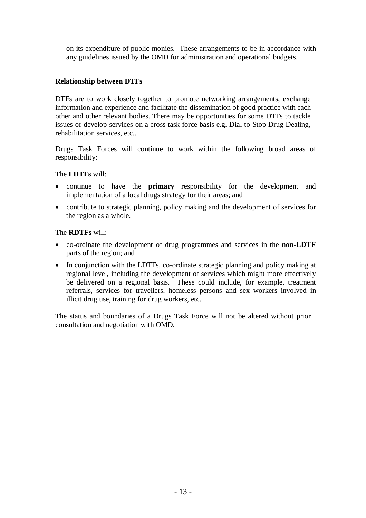on its expenditure of public monies. These arrangements to be in accordance with any guidelines issued by the OMD for administration and operational budgets.

#### **Relationship between DTFs**

DTFs are to work closely together to promote networking arrangements, exchange information and experience and facilitate the dissemination of good practice with each other and other relevant bodies. There may be opportunities for some DTFs to tackle issues or develop services on a cross task force basis e.g. Dial to Stop Drug Dealing, rehabilitation services, etc..

Drugs Task Forces will continue to work within the following broad areas of responsibility:

#### The **LDTFs** will:

- continue to have the **primary** responsibility for the development and implementation of a local drugs strategy for their areas; and
- contribute to strategic planning, policy making and the development of services for the region as a whole.

The **RDTFs** will:

- co-ordinate the development of drug programmes and services in the **non-LDTF** parts of the region; and
- In conjunction with the LDTFs, co-ordinate strategic planning and policy making at regional level, including the development of services which might more effectively be delivered on a regional basis. These could include, for example, treatment referrals, services for travellers, homeless persons and sex workers involved in illicit drug use, training for drug workers, etc.

The status and boundaries of a Drugs Task Force will not be altered without prior consultation and negotiation with OMD.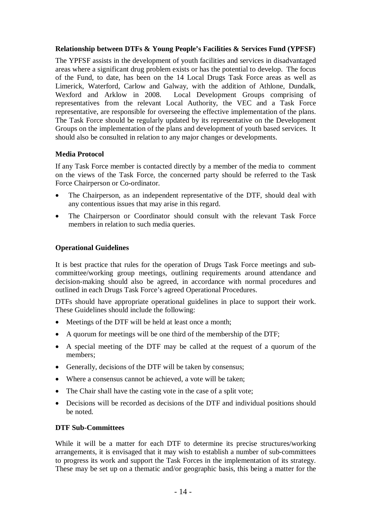#### **Relationship between DTFs & Young People's Facilities & Services Fund (YPFSF)**

The YPFSF assists in the development of youth facilities and services in disadvantaged areas where a significant drug problem exists or has the potential to develop. The focus of the Fund, to date, has been on the 14 Local Drugs Task Force areas as well as Limerick, Waterford, Carlow and Galway, with the addition of Athlone, Dundalk, Wexford and Arklow in 2008. Local Development Groups comprising of representatives from the relevant Local Authority, the VEC and a Task Force representative, are responsible for overseeing the effective implementation of the plans. The Task Force should be regularly updated by its representative on the Development Groups on the implementation of the plans and development of youth based services. It should also be consulted in relation to any major changes or developments.

#### **Media Protocol**

If any Task Force member is contacted directly by a member of the media to comment on the views of the Task Force, the concerned party should be referred to the Task Force Chairperson or Co-ordinator.

- The Chairperson, as an independent representative of the DTF, should deal with any contentious issues that may arise in this regard.
- The Chairperson or Coordinator should consult with the relevant Task Force members in relation to such media queries.

#### **Operational Guidelines**

It is best practice that rules for the operation of Drugs Task Force meetings and subcommittee/working group meetings, outlining requirements around attendance and decision-making should also be agreed, in accordance with normal procedures and outlined in each Drugs Task Force's agreed Operational Procedures.

DTFs should have appropriate operational guidelines in place to support their work. These Guidelines should include the following:

- Meetings of the DTF will be held at least once a month;
- A quorum for meetings will be one third of the membership of the DTF;
- A special meeting of the DTF may be called at the request of a quorum of the members;
- Generally, decisions of the DTF will be taken by consensus;
- Where a consensus cannot be achieved, a vote will be taken;
- The Chair shall have the casting vote in the case of a split vote;
- Decisions will be recorded as decisions of the DTF and individual positions should be noted.

#### **DTF Sub-Committees**

While it will be a matter for each DTF to determine its precise structures/working arrangements, it is envisaged that it may wish to establish a number of sub-committees to progress its work and support the Task Forces in the implementation of its strategy. These may be set up on a thematic and/or geographic basis, this being a matter for the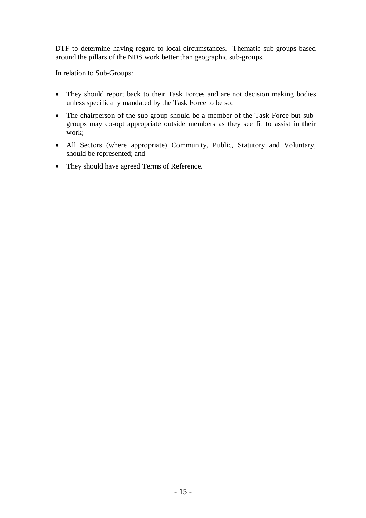DTF to determine having regard to local circumstances. Thematic sub-groups based around the pillars of the NDS work better than geographic sub-groups.

In relation to Sub-Groups:

- They should report back to their Task Forces and are not decision making bodies unless specifically mandated by the Task Force to be so;
- The chairperson of the sub-group should be a member of the Task Force but subgroups may co-opt appropriate outside members as they see fit to assist in their work;
- All Sectors (where appropriate) Community, Public, Statutory and Voluntary, should be represented; and
- They should have agreed Terms of Reference.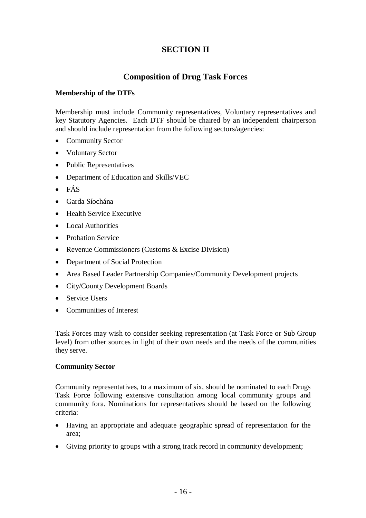# **SECTION II**

# **Composition of Drug Task Forces**

#### **Membership of the DTFs**

Membership must include Community representatives, Voluntary representatives and key Statutory Agencies. Each DTF should be chaired by an independent chairperson and should include representation from the following sectors/agencies:

- Community Sector
- Voluntary Sector
- Public Representatives
- Department of Education and Skills/VEC
- FÁS
- Garda Síochána
- Health Service Executive
- Local Authorities
- Probation Service
- Revenue Commissioners (Customs & Excise Division)
- Department of Social Protection
- Area Based Leader Partnership Companies/Community Development projects
- City/County Development Boards
- Service Users
- Communities of Interest

Task Forces may wish to consider seeking representation (at Task Force or Sub Group level) from other sources in light of their own needs and the needs of the communities they serve.

#### **Community Sector**

Community representatives, to a maximum of six, should be nominated to each Drugs Task Force following extensive consultation among local community groups and community fora. Nominations for representatives should be based on the following criteria:

- Having an appropriate and adequate geographic spread of representation for the area;
- Giving priority to groups with a strong track record in community development;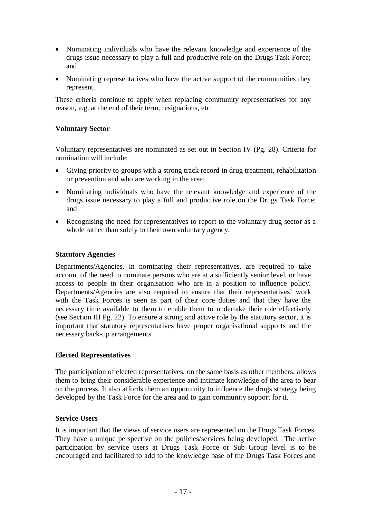- Nominating individuals who have the relevant knowledge and experience of the drugs issue necessary to play a full and productive role on the Drugs Task Force; and
- Nominating representatives who have the active support of the communities they represent.

These criteria continue to apply when replacing community representatives for any reason, e.g. at the end of their term, resignations, etc.

#### **Voluntary Sector**

Voluntary representatives are nominated as set out in Section IV (Pg. 28). Criteria for nomination will include:

- Giving priority to groups with a strong track record in drug treatment, rehabilitation or prevention and who are working in the area;
- Nominating individuals who have the relevant knowledge and experience of the drugs issue necessary to play a full and productive role on the Drugs Task Force; and
- Recognising the need for representatives to report to the voluntary drug sector as a whole rather than solely to their own voluntary agency.

#### **Statutory Agencies**

Departments/Agencies, in nominating their representatives, are required to take account of the need to nominate persons who are at a sufficiently senior level, or have access to people in their organisation who are in a position to influence policy. Departments/Agencies are also required to ensure that their representatives' work with the Task Forces is seen as part of their core duties and that they have the necessary time available to them to enable them to undertake their role effectively (see Section III Pg. 22). To ensure a strong and active role by the statutory sector, it is important that statutory representatives have proper organisational supports and the necessary back-up arrangements.

#### **Elected Representatives**

The participation of elected representatives, on the same basis as other members, allows them to bring their considerable experience and intimate knowledge of the area to bear on the process. It also affords them an opportunity to influence the drugs strategy being developed by the Task Force for the area and to gain community support for it.

#### **Service Users**

It is important that the views of service users are represented on the Drugs Task Forces. They have a unique perspective on the policies/services being developed. The active participation by service users at Drugs Task Force or Sub Group level is to be encouraged and facilitated to add to the knowledge base of the Drugs Task Forces and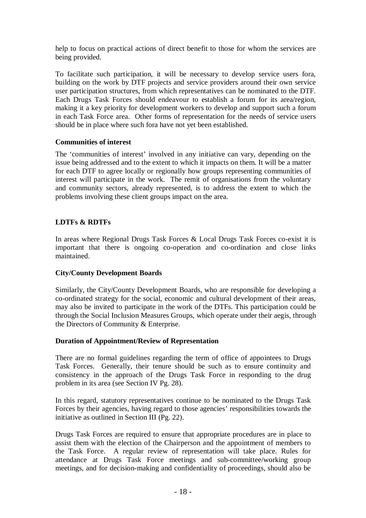help to focus on practical actions of direct benefit to those for whom the services are being provided.

To facilitate such participation, it will be necessary to develop service users fora, building on the work by DTF projects and service providers around their own service user participation structures, from which representatives can be nominated to the DTF. Each Drugs Task Forces should endeavour to establish a forum for its area/region, making it a key priority for development workers to develop and support such a forum in each Task Force area. Other forms of representation for the needs of service users should be in place where such fora have not yet been established.

#### **Communities of interest**

The 'communities of interest' involved in any initiative can vary, depending on the issue being addressed and to the extent to which it impacts on them. It will be a matter for each DTF to agree locally or regionally how groups representing communities of interest will participate in the work. The remit of organisations from the voluntary and community sectors, already represented, is to address the extent to which the problems involving these client groups impact on the area.

### **LDTFs & RDTFs**

In areas where Regional Drugs Task Forces & Local Drugs Task Forces co-exist it is important that there is ongoing co-operation and co-ordination and close links maintained.

### **City/County Development Boards**

Similarly, the City/County Development Boards, who are responsible for developing a co-ordinated strategy for the social, economic and cultural development of their areas, may also be invited to participate in the work of the DTFs. This participation could be through the Social Inclusion Measures Groups, which operate under their aegis, through the Directors of Community & Enterprise.

### **Duration of Appointment/Review of Representation**

There are no formal guidelines regarding the term of office of appointees to Drugs Task Forces. Generally, their tenure should be such as to ensure continuity and consistency in the approach of the Drugs Task Force in responding to the drug problem in its area (see Section IV Pg. 28).

In this regard, statutory representatives continue to be nominated to the Drugs Task Forces by their agencies, having regard to those agencies' responsibilities towards the initiative as outlined in Section III (Pg. 22).

Drugs Task Forces are required to ensure that appropriate procedures are in place to assist them with the election of the Chairperson and the appointment of members to the Task Force. A regular review of representation will take place. Rules for attendance at Drugs Task Force meetings and sub-committee/working group meetings, and for decision-making and confidentiality of proceedings, should also be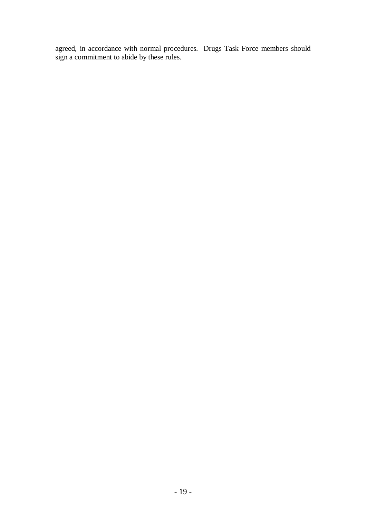agreed, in accordance with normal procedures. Drugs Task Force members should sign a commitment to abide by these rules.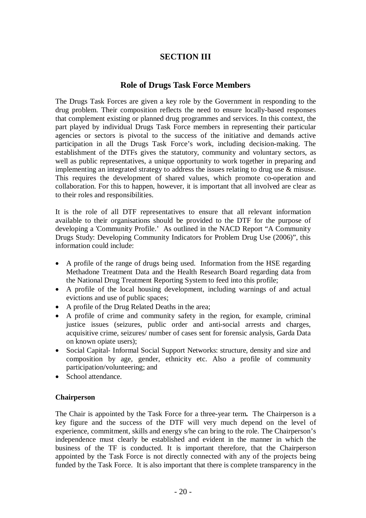# **SECTION III**

### **Role of Drugs Task Force Members**

The Drugs Task Forces are given a key role by the Government in responding to the drug problem. Their composition reflects the need to ensure locally-based responses that complement existing or planned drug programmes and services. In this context, the part played by individual Drugs Task Force members in representing their particular agencies or sectors is pivotal to the success of the initiative and demands active participation in all the Drugs Task Force's work, including decision-making. The establishment of the DTFs gives the statutory, community and voluntary sectors, as well as public representatives, a unique opportunity to work together in preparing and implementing an integrated strategy to address the issues relating to drug use & misuse. This requires the development of shared values, which promote co-operation and collaboration. For this to happen, however, it is important that all involved are clear as to their roles and responsibilities.

It is the role of all DTF representatives to ensure that all relevant information available to their organisations should be provided to the DTF for the purpose of developing a 'Community Profile.' As outlined in the NACD Report "A Community Drugs Study: Developing Community Indicators for Problem Drug Use (2006)", this information could include:

- A profile of the range of drugs being used. Information from the HSE regarding Methadone Treatment Data and the Health Research Board regarding data from the National Drug Treatment Reporting System to feed into this profile;
- A profile of the local housing development, including warnings of and actual evictions and use of public spaces;
- A profile of the Drug Related Deaths in the area;
- A profile of crime and community safety in the region, for example, criminal justice issues (seizures, public order and anti-social arrests and charges, acquisitive crime, seizures/ number of cases sent for forensic analysis, Garda Data on known opiate users);
- Social Capital- Informal Social Support Networks: structure, density and size and composition by age, gender, ethnicity etc. Also a profile of community participation/volunteering; and
- School attendance.

#### **Chairperson**

The Chair is appointed by the Task Force for a three-year term**.** The Chairperson is a key figure and the success of the DTF will very much depend on the level of experience, commitment, skills and energy s/he can bring to the role. The Chairperson's independence must clearly be established and evident in the manner in which the business of the TF is conducted. It is important therefore, that the Chairperson appointed by the Task Force is not directly connected with any of the projects being funded by the Task Force. It is also important that there is complete transparency in the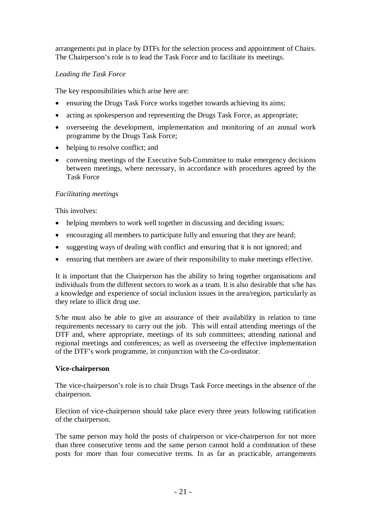arrangements put in place by DTFs for the selection process and appointment of Chairs. The Chairperson's role is to lead the Task Force and to facilitate its meetings.

#### *Leading the Task Force*

The key responsibilities which arise here are:

- ensuring the Drugs Task Force works together towards achieving its aims;
- acting as spokesperson and representing the Drugs Task Force, as appropriate;
- overseeing the development, implementation and monitoring of an annual work programme by the Drugs Task Force;
- helping to resolve conflict; and
- convening meetings of the Executive Sub-Committee to make emergency decisions between meetings, where necessary, in accordance with procedures agreed by the Task Force

#### *Facilitating meetings*

This involves:

- helping members to work well together in discussing and deciding issues;
- encouraging all members to participate fully and ensuring that they are heard;
- suggesting ways of dealing with conflict and ensuring that it is not ignored; and
- ensuring that members are aware of their responsibility to make meetings effective.

It is important that the Chairperson has the ability to bring together organisations and individuals from the different sectors to work as a team. It is also desirable that s/he has a knowledge and experience of social inclusion issues in the area/region, particularly as they relate to illicit drug use.

S/he must also be able to give an assurance of their availability in relation to time requirements necessary to carry out the job. This will entail attending meetings of the DTF and, where appropriate, meetings of its sub committees; attending national and regional meetings and conferences; as well as overseeing the effective implementation of the DTF's work programme, in conjunction with the Co-ordinator.

#### **Vice-chairperson**

The vice-chairperson's role is to chair Drugs Task Force meetings in the absence of the chairperson.

Election of vice-chairperson should take place every three years following ratification of the chairperson.

The same person may hold the posts of chairperson or vice-chairperson for not more than three consecutive terms and the same person cannot hold a combination of these posts for more than four consecutive terms. In as far as practicable, arrangements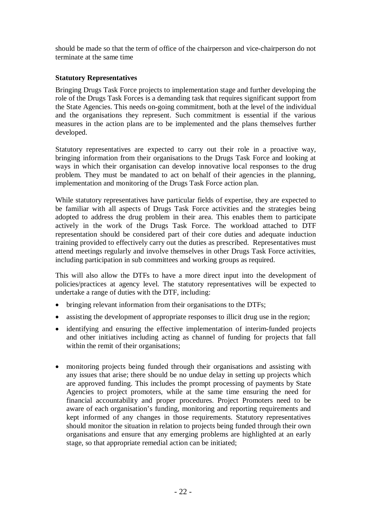should be made so that the term of office of the chairperson and vice-chairperson do not terminate at the same time

#### **Statutory Representatives**

Bringing Drugs Task Force projects to implementation stage and further developing the role of the Drugs Task Forces is a demanding task that requires significant support from the State Agencies. This needs on-going commitment, both at the level of the individual and the organisations they represent. Such commitment is essential if the various measures in the action plans are to be implemented and the plans themselves further developed.

Statutory representatives are expected to carry out their role in a proactive way, bringing information from their organisations to the Drugs Task Force and looking at ways in which their organisation can develop innovative local responses to the drug problem. They must be mandated to act on behalf of their agencies in the planning, implementation and monitoring of the Drugs Task Force action plan.

While statutory representatives have particular fields of expertise, they are expected to be familiar with all aspects of Drugs Task Force activities and the strategies being adopted to address the drug problem in their area. This enables them to participate actively in the work of the Drugs Task Force. The workload attached to DTF representation should be considered part of their core duties and adequate induction training provided to effectively carry out the duties as prescribed. Representatives must attend meetings regularly and involve themselves in other Drugs Task Force activities, including participation in sub committees and working groups as required.

This will also allow the DTFs to have a more direct input into the development of policies/practices at agency level. The statutory representatives will be expected to undertake a range of duties with the DTF, including:

- bringing relevant information from their organisations to the DTFs;
- assisting the development of appropriate responses to illicit drug use in the region;
- identifying and ensuring the effective implementation of interim-funded projects and other initiatives including acting as channel of funding for projects that fall within the remit of their organisations;
- monitoring projects being funded through their organisations and assisting with any issues that arise; there should be no undue delay in setting up projects which are approved funding. This includes the prompt processing of payments by State Agencies to project promoters, while at the same time ensuring the need for financial accountability and proper procedures. Project Promoters need to be aware of each organisation's funding, monitoring and reporting requirements and kept informed of any changes in those requirements. Statutory representatives should monitor the situation in relation to projects being funded through their own organisations and ensure that any emerging problems are highlighted at an early stage, so that appropriate remedial action can be initiated;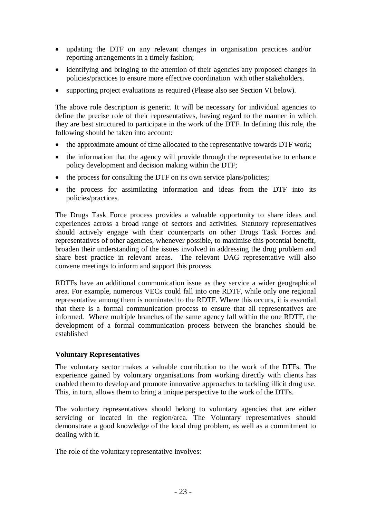- updating the DTF on any relevant changes in organisation practices and/or reporting arrangements in a timely fashion;
- identifying and bringing to the attention of their agencies any proposed changes in policies/practices to ensure more effective coordination with other stakeholders.
- supporting project evaluations as required (Please also see Section VI below).

The above role description is generic. It will be necessary for individual agencies to define the precise role of their representatives, having regard to the manner in which they are best structured to participate in the work of the DTF. In defining this role, the following should be taken into account:

- the approximate amount of time allocated to the representative towards DTF work;
- the information that the agency will provide through the representative to enhance policy development and decision making within the DTF;
- the process for consulting the DTF on its own service plans/policies;
- the process for assimilating information and ideas from the DTF into its policies/practices.

The Drugs Task Force process provides a valuable opportunity to share ideas and experiences across a broad range of sectors and activities. Statutory representatives should actively engage with their counterparts on other Drugs Task Forces and representatives of other agencies, whenever possible, to maximise this potential benefit, broaden their understanding of the issues involved in addressing the drug problem and share best practice in relevant areas. The relevant DAG representative will also convene meetings to inform and support this process.

RDTFs have an additional communication issue as they service a wider geographical area. For example, numerous VECs could fall into one RDTF, while only one regional representative among them is nominated to the RDTF. Where this occurs, it is essential that there is a formal communication process to ensure that all representatives are informed. Where multiple branches of the same agency fall within the one RDTF, the development of a formal communication process between the branches should be established

#### **Voluntary Representatives**

The voluntary sector makes a valuable contribution to the work of the DTFs. The experience gained by voluntary organisations from working directly with clients has enabled them to develop and promote innovative approaches to tackling illicit drug use. This, in turn, allows them to bring a unique perspective to the work of the DTFs.

The voluntary representatives should belong to voluntary agencies that are either servicing or located in the region/area. The Voluntary representatives should demonstrate a good knowledge of the local drug problem, as well as a commitment to dealing with it.

The role of the voluntary representative involves: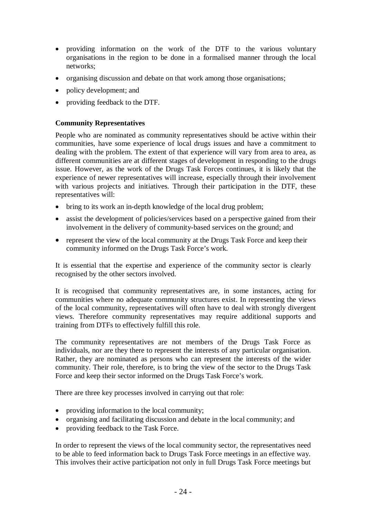- providing information on the work of the DTF to the various voluntary organisations in the region to be done in a formalised manner through the local networks;
- organising discussion and debate on that work among those organisations;
- policy development; and
- providing feedback to the DTF.

#### **Community Representatives**

People who are nominated as community representatives should be active within their communities, have some experience of local drugs issues and have a commitment to dealing with the problem. The extent of that experience will vary from area to area, as different communities are at different stages of development in responding to the drugs issue. However, as the work of the Drugs Task Forces continues, it is likely that the experience of newer representatives will increase, especially through their involvement with various projects and initiatives. Through their participation in the DTF, these representatives will:

- bring to its work an in-depth knowledge of the local drug problem;
- assist the development of policies/services based on a perspective gained from their involvement in the delivery of community-based services on the ground; and
- represent the view of the local community at the Drugs Task Force and keep their community informed on the Drugs Task Force's work.

It is essential that the expertise and experience of the community sector is clearly recognised by the other sectors involved.

It is recognised that community representatives are, in some instances, acting for communities where no adequate community structures exist. In representing the views of the local community, representatives will often have to deal with strongly divergent views. Therefore community representatives may require additional supports and training from DTFs to effectively fulfill this role.

The community representatives are not members of the Drugs Task Force as individuals, nor are they there to represent the interests of any particular organisation. Rather, they are nominated as persons who can represent the interests of the wider community. Their role, therefore, is to bring the view of the sector to the Drugs Task Force and keep their sector informed on the Drugs Task Force's work.

There are three key processes involved in carrying out that role:

- providing information to the local community;
- organising and facilitating discussion and debate in the local community; and
- providing feedback to the Task Force.

In order to represent the views of the local community sector, the representatives need to be able to feed information back to Drugs Task Force meetings in an effective way. This involves their active participation not only in full Drugs Task Force meetings but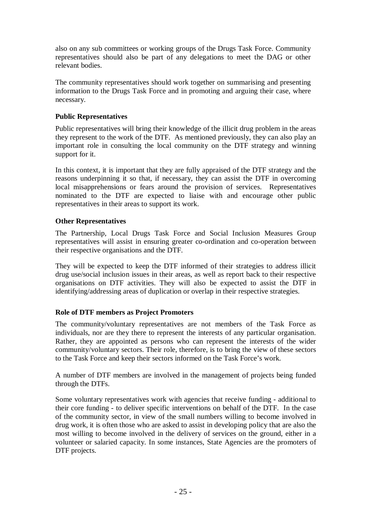also on any sub committees or working groups of the Drugs Task Force. Community representatives should also be part of any delegations to meet the DAG or other relevant bodies.

The community representatives should work together on summarising and presenting information to the Drugs Task Force and in promoting and arguing their case, where necessary.

#### **Public Representatives**

Public representatives will bring their knowledge of the illicit drug problem in the areas they represent to the work of the DTF. As mentioned previously, they can also play an important role in consulting the local community on the DTF strategy and winning support for it.

In this context, it is important that they are fully appraised of the DTF strategy and the reasons underpinning it so that, if necessary, they can assist the DTF in overcoming local misapprehensions or fears around the provision of services. Representatives nominated to the DTF are expected to liaise with and encourage other public representatives in their areas to support its work.

#### **Other Representatives**

The Partnership, Local Drugs Task Force and Social Inclusion Measures Group representatives will assist in ensuring greater co-ordination and co-operation between their respective organisations and the DTF.

They will be expected to keep the DTF informed of their strategies to address illicit drug use/social inclusion issues in their areas, as well as report back to their respective organisations on DTF activities. They will also be expected to assist the DTF in identifying/addressing areas of duplication or overlap in their respective strategies.

#### **Role of DTF members as Project Promoters**

The community/voluntary representatives are not members of the Task Force as individuals, nor are they there to represent the interests of any particular organisation. Rather, they are appointed as persons who can represent the interests of the wider community/voluntary sectors. Their role, therefore, is to bring the view of these sectors to the Task Force and keep their sectors informed on the Task Force's work.

A number of DTF members are involved in the management of projects being funded through the DTFs.

Some voluntary representatives work with agencies that receive funding - additional to their core funding - to deliver specific interventions on behalf of the DTF. In the case of the community sector, in view of the small numbers willing to become involved in drug work, it is often those who are asked to assist in developing policy that are also the most willing to become involved in the delivery of services on the ground, either in a volunteer or salaried capacity. In some instances, State Agencies are the promoters of DTF projects.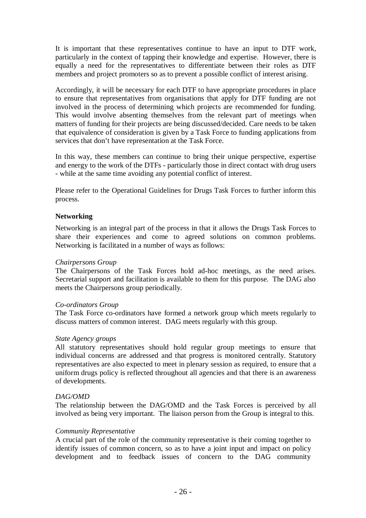It is important that these representatives continue to have an input to DTF work, particularly in the context of tapping their knowledge and expertise. However, there is equally a need for the representatives to differentiate between their roles as DTF members and project promoters so as to prevent a possible conflict of interest arising.

Accordingly, it will be necessary for each DTF to have appropriate procedures in place to ensure that representatives from organisations that apply for DTF funding are not involved in the process of determining which projects are recommended for funding. This would involve absenting themselves from the relevant part of meetings when matters of funding for their projects are being discussed/decided. Care needs to be taken that equivalence of consideration is given by a Task Force to funding applications from services that don't have representation at the Task Force.

In this way, these members can continue to bring their unique perspective, expertise and energy to the work of the DTFs - particularly those in direct contact with drug users - while at the same time avoiding any potential conflict of interest.

Please refer to the Operational Guidelines for Drugs Task Forces to further inform this process.

#### **Networking**

Networking is an integral part of the process in that it allows the Drugs Task Forces to share their experiences and come to agreed solutions on common problems. Networking is facilitated in a number of ways as follows:

#### *Chairpersons Group*

The Chairpersons of the Task Forces hold ad-hoc meetings, as the need arises. Secretarial support and facilitation is available to them for this purpose. The DAG also meets the Chairpersons group periodically.

#### *Co-ordinators Group*

The Task Force co-ordinators have formed a network group which meets regularly to discuss matters of common interest. DAG meets regularly with this group.

#### *State Agency groups*

All statutory representatives should hold regular group meetings to ensure that individual concerns are addressed and that progress is monitored centrally. Statutory representatives are also expected to meet in plenary session as required, to ensure that a uniform drugs policy is reflected throughout all agencies and that there is an awareness of developments.

#### *DAG/OMD*

The relationship between the DAG/OMD and the Task Forces is perceived by all involved as being very important. The liaison person from the Group is integral to this.

#### *Community Representative*

A crucial part of the role of the community representative is their coming together to identify issues of common concern, so as to have a joint input and impact on policy development and to feedback issues of concern to the DAG community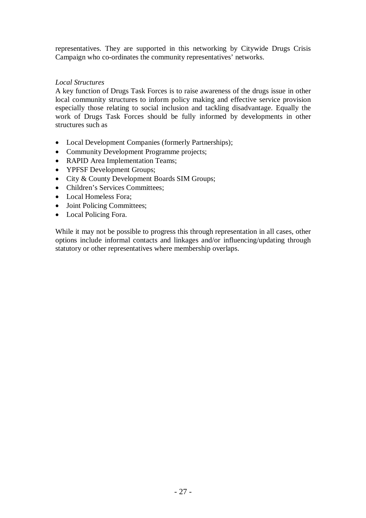representatives. They are supported in this networking by Citywide Drugs Crisis Campaign who co-ordinates the community representatives' networks.

#### *Local Structures*

A key function of Drugs Task Forces is to raise awareness of the drugs issue in other local community structures to inform policy making and effective service provision especially those relating to social inclusion and tackling disadvantage. Equally the work of Drugs Task Forces should be fully informed by developments in other structures such as

- Local Development Companies (formerly Partnerships);
- Community Development Programme projects;
- RAPID Area Implementation Teams:
- YPFSF Development Groups;
- City & County Development Boards SIM Groups;
- Children's Services Committees;
- Local Homeless Fora:
- Joint Policing Committees;
- Local Policing Fora.

While it may not be possible to progress this through representation in all cases, other options include informal contacts and linkages and/or influencing/updating through statutory or other representatives where membership overlaps.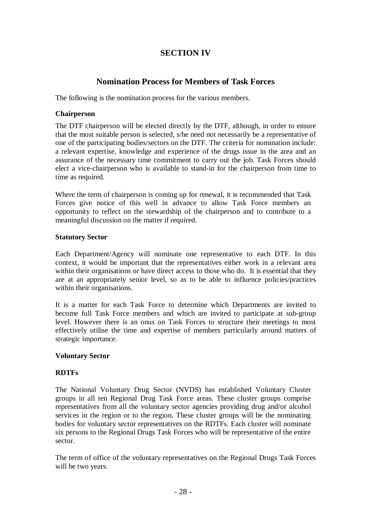# **SECTION IV**

## **Nomination Process for Members of Task Forces**

The following is the nomination process for the various members.

#### **Chairperson**

The DTF chairperson will be elected directly by the DTF, although, in order to ensure that the most suitable person is selected, s/he need not necessarily be a representative of one of the participating bodies/sectors on the DTF. The criteria for nomination include: a relevant expertise, knowledge and experience of the drugs issue in the area and an assurance of the necessary time commitment to carry out the job. Task Forces should elect a vice-chairperson who is available to stand-in for the chairperson from time to time as required.

Where the term of chairperson is coming up for renewal, it is recommended that Task Forces give notice of this well in advance to allow Task Force members an opportunity to reflect on the stewardship of the chairperson and to contribute to a meaningful discussion on the matter if required.

#### **Statutory Sector**

Each Department/Agency will nominate one representative to each DTF. In this context, it would be important that the representatives either work in a relevant area within their organisations or have direct access to those who do. It is essential that they are at an appropriately senior level, so as to be able to influence policies/practices within their organisations.

It is a matter for each Task Force to determine which Departments are invited to become full Task Force members and which are invited to participate at sub-group level. However there is an onus on Task Forces to structure their meetings to most effectively utilise the time and expertise of members particularly around matters of strategic importance.

#### **Voluntary Sector**

#### **RDTFs**

The National Voluntary Drug Sector (NVDS) has established Voluntary Cluster groups in all ten Regional Drug Task Force areas. These cluster groups comprise representatives from all the voluntary sector agencies providing drug and/or alcohol services in the region or to the region. These cluster groups will be the nominating bodies for voluntary sector representatives on the RDTFs. Each cluster will nominate six persons to the Regional Drugs Task Forces who will be representative of the entire sector.

The term of office of the voluntary representatives on the Regional Drugs Task Forces will be two years.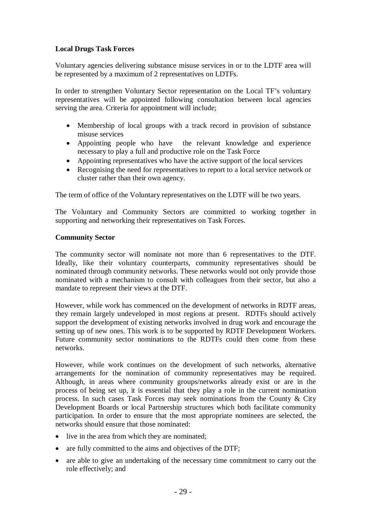#### **Local Drugs Task Forces**

Voluntary agencies delivering substance misuse services in or to the LDTF area will be represented by a maximum of 2 representatives on LDTFs.

In order to strengthen Voluntary Sector representation on the Local TF's voluntary representatives will be appointed following consultation between local agencies serving the area. Criteria for appointment will include;

- Membership of local groups with a track record in provision of substance misuse services
- Appointing people who have the relevant knowledge and experience necessary to play a full and productive role on the Task Force
- Appointing representatives who have the active support of the local services
- Recognising the need for representatives to report to a local service network or cluster rather than their own agency.

The term of office of the Voluntary representatives on the LDTF will be two years.

The Voluntary and Community Sectors are committed to working together in supporting and networking their representatives on Task Forces.

#### **Community Sector**

The community sector will nominate not more than 6 representatives to the DTF. Ideally, like their voluntary counterparts, community representatives should be nominated through community networks. These networks would not only provide those nominated with a mechanism to consult with colleagues from their sector, but also a mandate to represent their views at the DTF.

However, while work has commenced on the development of networks in RDTF areas, they remain largely undeveloped in most regions at present. RDTFs should actively support the development of existing networks involved in drug work and encourage the setting up of new ones. This work is to be supported by RDTF Development Workers. Future community sector nominations to the RDTFs could then come from these networks.

However, while work continues on the development of such networks, alternative arrangements for the nomination of community representatives may be required. Although, in areas where community groups/networks already exist or are in the process of being set up, it is essential that they play a role in the current nomination process. In such cases Task Forces may seek nominations from the County & City Development Boards or local Partnership structures which both facilitate community participation. In order to ensure that the most appropriate nominees are selected, the networks should ensure that those nominated:

- live in the area from which they are nominated;
- are fully committed to the aims and objectives of the DTF:
- are able to give an undertaking of the necessary time commitment to carry out the role effectively; and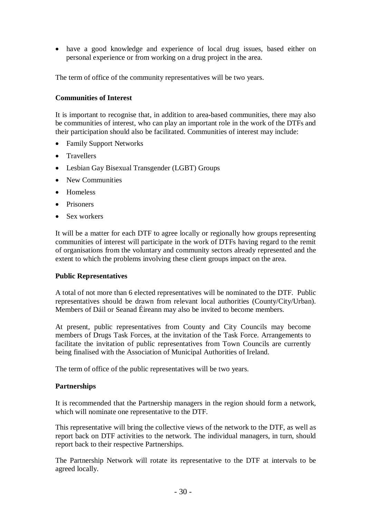have a good knowledge and experience of local drug issues, based either on personal experience or from working on a drug project in the area.

The term of office of the community representatives will be two years.

#### **Communities of Interest**

It is important to recognise that, in addition to area-based communities, there may also be communities of interest, who can play an important role in the work of the DTFs and their participation should also be facilitated. Communities of interest may include:

- Family Support Networks
- Travellers
- Lesbian Gay Bisexual Transgender (LGBT) Groups
- New Communities
- Homeless
- Prisoners
- Sex workers

It will be a matter for each DTF to agree locally or regionally how groups representing communities of interest will participate in the work of DTFs having regard to the remit of organisations from the voluntary and community sectors already represented and the extent to which the problems involving these client groups impact on the area.

#### **Public Representatives**

A total of not more than 6 elected representatives will be nominated to the DTF. Public representatives should be drawn from relevant local authorities (County/City/Urban). Members of Dáil or Seanad Éireann may also be invited to become members.

At present, public representatives from County and City Councils may become members of Drugs Task Forces, at the invitation of the Task Force. Arrangements to facilitate the invitation of public representatives from Town Councils are currently being finalised with the Association of Municipal Authorities of Ireland.

The term of office of the public representatives will be two years.

#### **Partnerships**

It is recommended that the Partnership managers in the region should form a network, which will nominate one representative to the DTF.

This representative will bring the collective views of the network to the DTF, as well as report back on DTF activities to the network. The individual managers, in turn, should report back to their respective Partnerships.

The Partnership Network will rotate its representative to the DTF at intervals to be agreed locally.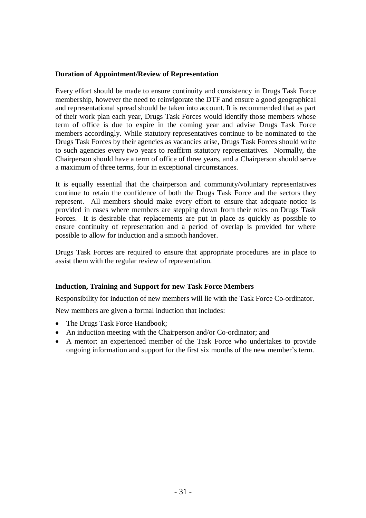#### **Duration of Appointment/Review of Representation**

Every effort should be made to ensure continuity and consistency in Drugs Task Force membership, however the need to reinvigorate the DTF and ensure a good geographical and representational spread should be taken into account. It is recommended that as part of their work plan each year, Drugs Task Forces would identify those members whose term of office is due to expire in the coming year and advise Drugs Task Force members accordingly. While statutory representatives continue to be nominated to the Drugs Task Forces by their agencies as vacancies arise, Drugs Task Forces should write to such agencies every two years to reaffirm statutory representatives. Normally, the Chairperson should have a term of office of three years, and a Chairperson should serve a maximum of three terms, four in exceptional circumstances.

It is equally essential that the chairperson and community/voluntary representatives continue to retain the confidence of both the Drugs Task Force and the sectors they represent. All members should make every effort to ensure that adequate notice is provided in cases where members are stepping down from their roles on Drugs Task Forces. It is desirable that replacements are put in place as quickly as possible to ensure continuity of representation and a period of overlap is provided for where possible to allow for induction and a smooth handover.

Drugs Task Forces are required to ensure that appropriate procedures are in place to assist them with the regular review of representation.

#### **Induction, Training and Support for new Task Force Members**

Responsibility for induction of new members will lie with the Task Force Co-ordinator.

New members are given a formal induction that includes:

- The Drugs Task Force Handbook;
- An induction meeting with the Chairperson and/or Co-ordinator; and
- A mentor: an experienced member of the Task Force who undertakes to provide ongoing information and support for the first six months of the new member's term.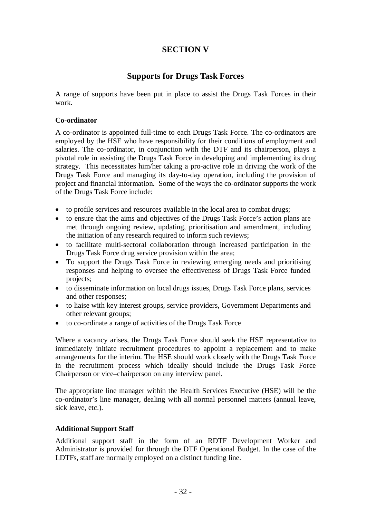# **SECTION V**

## **Supports for Drugs Task Forces**

A range of supports have been put in place to assist the Drugs Task Forces in their work.

#### **Co-ordinator**

A co-ordinator is appointed full-time to each Drugs Task Force. The co-ordinators are employed by the HSE who have responsibility for their conditions of employment and salaries. The co-ordinator, in conjunction with the DTF and its chairperson, plays a pivotal role in assisting the Drugs Task Force in developing and implementing its drug strategy. This necessitates him/her taking a pro-active role in driving the work of the Drugs Task Force and managing its day-to-day operation, including the provision of project and financial information. Some of the ways the co-ordinator supports the work of the Drugs Task Force include:

- to profile services and resources available in the local area to combat drugs;
- to ensure that the aims and objectives of the Drugs Task Force's action plans are met through ongoing review, updating, prioritisation and amendment, including the initiation of any research required to inform such reviews;
- to facilitate multi-sectoral collaboration through increased participation in the Drugs Task Force drug service provision within the area;
- To support the Drugs Task Force in reviewing emerging needs and prioritising responses and helping to oversee the effectiveness of Drugs Task Force funded projects;
- to disseminate information on local drugs issues, Drugs Task Force plans, services and other responses;
- to liaise with key interest groups, service providers, Government Departments and other relevant groups;
- to co-ordinate a range of activities of the Drugs Task Force

Where a vacancy arises, the Drugs Task Force should seek the HSE representative to immediately initiate recruitment procedures to appoint a replacement and to make arrangements for the interim. The HSE should work closely with the Drugs Task Force in the recruitment process which ideally should include the Drugs Task Force Chairperson or vice–chairperson on any interview panel.

The appropriate line manager within the Health Services Executive (HSE) will be the co-ordinator's line manager, dealing with all normal personnel matters (annual leave, sick leave, etc.).

#### **Additional Support Staff**

Additional support staff in the form of an RDTF Development Worker and Administrator is provided for through the DTF Operational Budget. In the case of the LDTFs, staff are normally employed on a distinct funding line.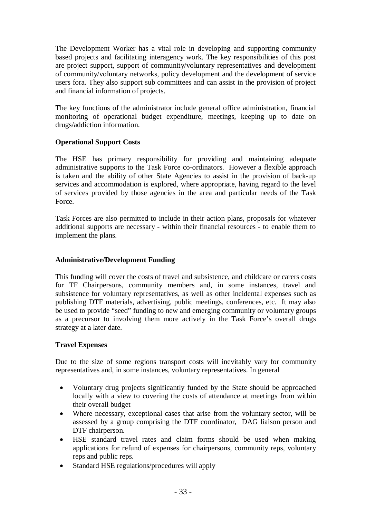The Development Worker has a vital role in developing and supporting community based projects and facilitating interagency work. The key responsibilities of this post are project support, support of community/voluntary representatives and development of community/voluntary networks, policy development and the development of service users fora. They also support sub committees and can assist in the provision of project and financial information of projects.

The key functions of the administrator include general office administration, financial monitoring of operational budget expenditure, meetings, keeping up to date on drugs/addiction information.

#### **Operational Support Costs**

The HSE has primary responsibility for providing and maintaining adequate administrative supports to the Task Force co-ordinators. However a flexible approach is taken and the ability of other State Agencies to assist in the provision of back-up services and accommodation is explored, where appropriate, having regard to the level of services provided by those agencies in the area and particular needs of the Task Force.

Task Forces are also permitted to include in their action plans, proposals for whatever additional supports are necessary - within their financial resources - to enable them to implement the plans.

#### **Administrative/Development Funding**

This funding will cover the costs of travel and subsistence, and childcare or carers costs for TF Chairpersons, community members and, in some instances, travel and subsistence for voluntary representatives, as well as other incidental expenses such as publishing DTF materials, advertising, public meetings, conferences, etc. It may also be used to provide "seed" funding to new and emerging community or voluntary groups as a precursor to involving them more actively in the Task Force's overall drugs strategy at a later date.

### **Travel Expenses**

Due to the size of some regions transport costs will inevitably vary for community representatives and, in some instances, voluntary representatives. In general

- Voluntary drug projects significantly funded by the State should be approached locally with a view to covering the costs of attendance at meetings from within their overall budget
- Where necessary, exceptional cases that arise from the voluntary sector, will be assessed by a group comprising the DTF coordinator, DAG liaison person and DTF chairperson.
- HSE standard travel rates and claim forms should be used when making applications for refund of expenses for chairpersons, community reps, voluntary reps and public reps.
- Standard HSE regulations/procedures will apply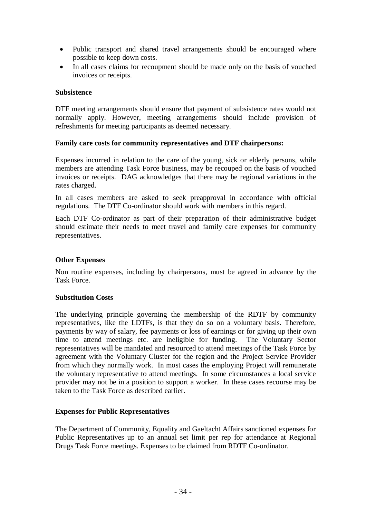- Public transport and shared travel arrangements should be encouraged where possible to keep down costs.
- In all cases claims for recoupment should be made only on the basis of vouched invoices or receipts.

#### **Subsistence**

DTF meeting arrangements should ensure that payment of subsistence rates would not normally apply. However, meeting arrangements should include provision of refreshments for meeting participants as deemed necessary.

#### **Family care costs for community representatives and DTF chairpersons:**

Expenses incurred in relation to the care of the young, sick or elderly persons, while members are attending Task Force business, may be recouped on the basis of vouched invoices or receipts. DAG acknowledges that there may be regional variations in the rates charged.

In all cases members are asked to seek preapproval in accordance with official regulations. The DTF Co-ordinator should work with members in this regard.

Each DTF Co-ordinator as part of their preparation of their administrative budget should estimate their needs to meet travel and family care expenses for community representatives.

#### **Other Expenses**

Non routine expenses, including by chairpersons, must be agreed in advance by the Task Force.

#### **Substitution Costs**

The underlying principle governing the membership of the RDTF by community representatives, like the LDTFs, is that they do so on a voluntary basis. Therefore, payments by way of salary, fee payments or loss of earnings or for giving up their own time to attend meetings etc. are ineligible for funding. The Voluntary Sector representatives will be mandated and resourced to attend meetings of the Task Force by agreement with the Voluntary Cluster for the region and the Project Service Provider from which they normally work. In most cases the employing Project will remunerate the voluntary representative to attend meetings. In some circumstances a local service provider may not be in a position to support a worker. In these cases recourse may be taken to the Task Force as described earlier.

#### **Expenses for Public Representatives**

The Department of Community, Equality and Gaeltacht Affairs sanctioned expenses for Public Representatives up to an annual set limit per rep for attendance at Regional Drugs Task Force meetings. Expenses to be claimed from RDTF Co-ordinator.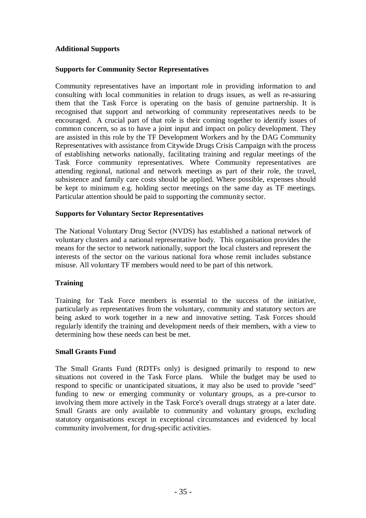#### **Additional Supports**

#### **Supports for Community Sector Representatives**

Community representatives have an important role in providing information to and consulting with local communities in relation to drugs issues, as well as re-assuring them that the Task Force is operating on the basis of genuine partnership. It is recognised that support and networking of community representatives needs to be encouraged. A crucial part of that role is their coming together to identify issues of common concern, so as to have a joint input and impact on policy development. They are assisted in this role by the TF Development Workers and by the DAG Community Representatives with assistance from Citywide Drugs Crisis Campaign with the process of establishing networks nationally, facilitating training and regular meetings of the Task Force community representatives. Where Community representatives are attending regional, national and network meetings as part of their role, the travel, subsistence and family care costs should be applied. Where possible, expenses should be kept to minimum e.g. holding sector meetings on the same day as TF meetings. Particular attention should be paid to supporting the community sector.

#### **Supports for Voluntary Sector Representatives**

The National Voluntary Drug Sector (NVDS) has established a national network of voluntary clusters and a national representative body. This organisation provides the means for the sector to network nationally, support the local clusters and represent the interests of the sector on the various national fora whose remit includes substance misuse. All voluntary TF members would need to be part of this network.

#### **Training**

Training for Task Force members is essential to the success of the initiative, particularly as representatives from the voluntary, community and statutory sectors are being asked to work together in a new and innovative setting. Task Forces should regularly identify the training and development needs of their members, with a view to determining how these needs can best be met.

#### **Small Grants Fund**

The Small Grants Fund (RDTFs only) is designed primarily to respond to new situations not covered in the Task Force plans. While the budget may be used to respond to specific or unanticipated situations, it may also be used to provide "seed" funding to new or emerging community or voluntary groups, as a pre-cursor to involving them more actively in the Task Force's overall drugs strategy at a later date. Small Grants are only available to community and voluntary groups, excluding statutory organisations except in exceptional circumstances and evidenced by local community involvement, for drug-specific activities.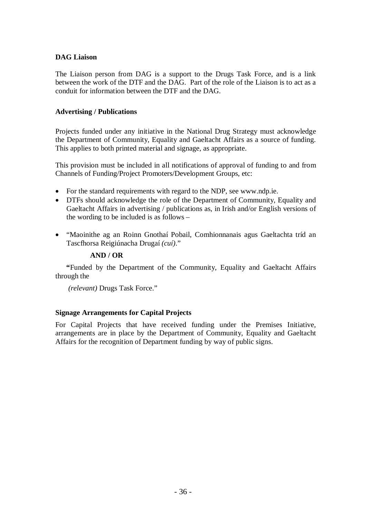#### **DAG Liaison**

The Liaison person from DAG is a support to the Drugs Task Force, and is a link between the work of the DTF and the DAG. Part of the role of the Liaison is to act as a conduit for information between the DTF and the DAG.

#### **Advertising / Publications**

Projects funded under any initiative in the National Drug Strategy must acknowledge the Department of Community, Equality and Gaeltacht Affairs as a source of funding. This applies to both printed material and signage, as appropriate.

This provision must be included in all notifications of approval of funding to and from Channels of Funding/Project Promoters/Development Groups, etc:

- For the standard requirements with regard to the NDP, see www.ndp.ie.
- DTFs should acknowledge the role of the Department of Community, Equality and Gaeltacht Affairs in advertising / publications as, in Irish and/or English versions of the wording to be included is as follows –
- "Maoinithe ag an Roinn Gnothaí Pobail, Comhionnanais agus Gaeltachta tríd an Tascfhorsa Reigiúnacha Drugaí *(cuí)*."

#### **AND / OR**

 **"**Funded by the Department of the Community, Equality and Gaeltacht Affairs through the

*(relevant)* Drugs Task Force."

#### **Signage Arrangements for Capital Projects**

For Capital Projects that have received funding under the Premises Initiative, arrangements are in place by the Department of Community, Equality and Gaeltacht Affairs for the recognition of Department funding by way of public signs.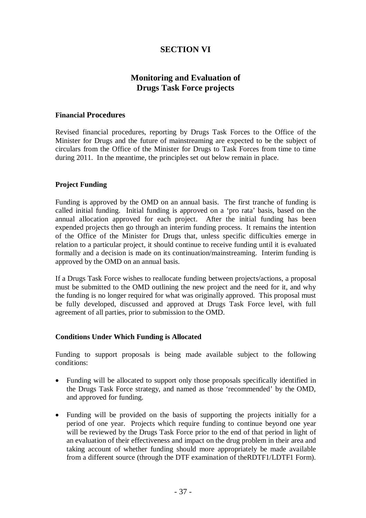# **SECTION VI**

# **Monitoring and Evaluation of Drugs Task Force projects**

#### **Financial Procedures**

Revised financial procedures, reporting by Drugs Task Forces to the Office of the Minister for Drugs and the future of mainstreaming are expected to be the subject of circulars from the Office of the Minister for Drugs to Task Forces from time to time during 2011. In the meantime, the principles set out below remain in place.

#### **Project Funding**

Funding is approved by the OMD on an annual basis. The first tranche of funding is called initial funding. Initial funding is approved on a 'pro rata' basis, based on the annual allocation approved for each project. After the initial funding has been expended projects then go through an interim funding process. It remains the intention of the Office of the Minister for Drugs that, unless specific difficulties emerge in relation to a particular project, it should continue to receive funding until it is evaluated formally and a decision is made on its continuation/mainstreaming. Interim funding is approved by the OMD on an annual basis.

If a Drugs Task Force wishes to reallocate funding between projects/actions, a proposal must be submitted to the OMD outlining the new project and the need for it, and why the funding is no longer required for what was originally approved. This proposal must be fully developed, discussed and approved at Drugs Task Force level, with full agreement of all parties, prior to submission to the OMD.

#### **Conditions Under Which Funding is Allocated**

Funding to support proposals is being made available subject to the following conditions:

- Funding will be allocated to support only those proposals specifically identified in the Drugs Task Force strategy, and named as those 'recommended' by the OMD, and approved for funding.
- Funding will be provided on the basis of supporting the projects initially for a period of one year. Projects which require funding to continue beyond one year will be reviewed by the Drugs Task Force prior to the end of that period in light of an evaluation of their effectiveness and impact on the drug problem in their area and taking account of whether funding should more appropriately be made available from a different source (through the DTF examination of theRDTF1/LDTF1 Form).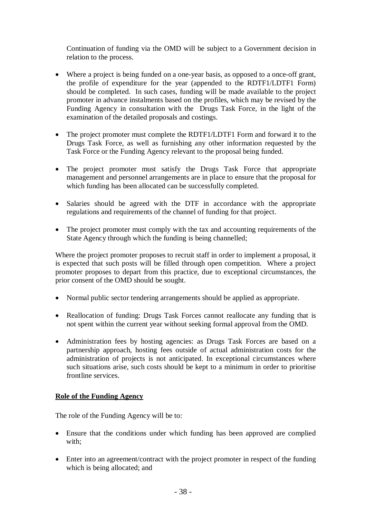Continuation of funding via the OMD will be subject to a Government decision in relation to the process.

- Where a project is being funded on a one-year basis, as opposed to a once-off grant, the profile of expenditure for the year (appended to the RDTF1/LDTF1 Form) should be completed. In such cases, funding will be made available to the project promoter in advance instalments based on the profiles, which may be revised by the Funding Agency in consultation with the Drugs Task Force, in the light of the examination of the detailed proposals and costings.
- The project promoter must complete the RDTF1/LDTF1 Form and forward it to the Drugs Task Force, as well as furnishing any other information requested by the Task Force or the Funding Agency relevant to the proposal being funded.
- The project promoter must satisfy the Drugs Task Force that appropriate management and personnel arrangements are in place to ensure that the proposal for which funding has been allocated can be successfully completed.
- Salaries should be agreed with the DTF in accordance with the appropriate regulations and requirements of the channel of funding for that project.
- The project promoter must comply with the tax and accounting requirements of the State Agency through which the funding is being channelled;

Where the project promoter proposes to recruit staff in order to implement a proposal, it is expected that such posts will be filled through open competition. Where a project promoter proposes to depart from this practice, due to exceptional circumstances, the prior consent of the OMD should be sought.

- Normal public sector tendering arrangements should be applied as appropriate.
- Reallocation of funding: Drugs Task Forces cannot reallocate any funding that is not spent within the current year without seeking formal approval from the OMD.
- Administration fees by hosting agencies: as Drugs Task Forces are based on a partnership approach, hosting fees outside of actual administration costs for the administration of projects is not anticipated. In exceptional circumstances where such situations arise, such costs should be kept to a minimum in order to prioritise frontline services.

#### **Role of the Funding Agency**

The role of the Funding Agency will be to:

- Ensure that the conditions under which funding has been approved are complied with;
- Enter into an agreement/contract with the project promoter in respect of the funding which is being allocated; and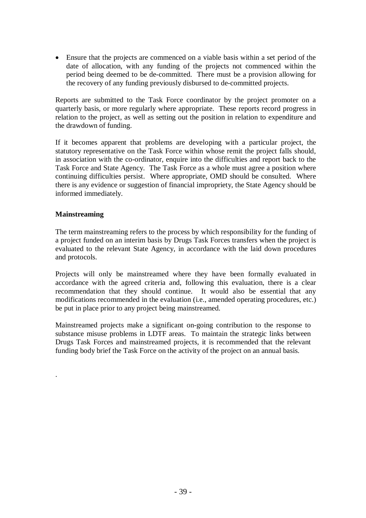Ensure that the projects are commenced on a viable basis within a set period of the date of allocation, with any funding of the projects not commenced within the period being deemed to be de-committed. There must be a provision allowing for the recovery of any funding previously disbursed to de-committed projects.

Reports are submitted to the Task Force coordinator by the project promoter on a quarterly basis, or more regularly where appropriate. These reports record progress in relation to the project, as well as setting out the position in relation to expenditure and the drawdown of funding.

If it becomes apparent that problems are developing with a particular project, the statutory representative on the Task Force within whose remit the project falls should, in association with the co-ordinator, enquire into the difficulties and report back to the Task Force and State Agency. The Task Force as a whole must agree a position where continuing difficulties persist. Where appropriate, OMD should be consulted. Where there is any evidence or suggestion of financial impropriety, the State Agency should be informed immediately.

#### **Mainstreaming**

.

The term mainstreaming refers to the process by which responsibility for the funding of a project funded on an interim basis by Drugs Task Forces transfers when the project is evaluated to the relevant State Agency, in accordance with the laid down procedures and protocols.

Projects will only be mainstreamed where they have been formally evaluated in accordance with the agreed criteria and, following this evaluation, there is a clear recommendation that they should continue. It would also be essential that any modifications recommended in the evaluation (i.e., amended operating procedures, etc.) be put in place prior to any project being mainstreamed.

Mainstreamed projects make a significant on-going contribution to the response to substance misuse problems in LDTF areas. To maintain the strategic links between Drugs Task Forces and mainstreamed projects, it is recommended that the relevant funding body brief the Task Force on the activity of the project on an annual basis.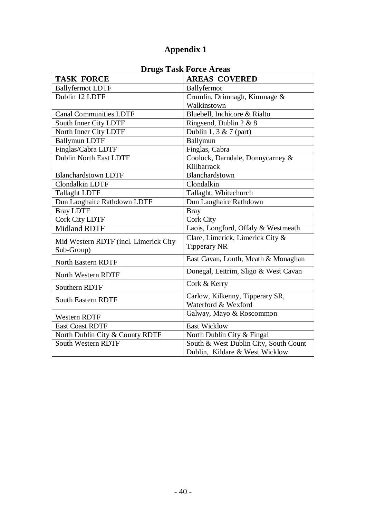|                                       | DIUZS TASK FUILT AITAS                                 |
|---------------------------------------|--------------------------------------------------------|
| <b>TASK FORCE</b>                     | <b>AREAS COVERED</b>                                   |
| <b>Ballyfermot LDTF</b>               | Ballyfermot                                            |
| Dublin 12 LDTF                        | Crumlin, Drimnagh, Kimmage &                           |
|                                       | Walkinstown                                            |
| Canal Communities LDTF                | Bluebell, Inchicore & Rialto                           |
| South Inner City LDTF                 | Ringsend, Dublin 2 & 8                                 |
| North Inner City LDTF                 | Dublin 1, 3 & 7 (part)                                 |
| <b>Ballymun LDTF</b>                  | Ballymun                                               |
| Finglas/Cabra LDTF                    | Finglas, Cabra                                         |
| <b>Dublin North East LDTF</b>         | Coolock, Darndale, Donnycarney &                       |
|                                       | Killbarrack                                            |
| <b>Blanchardstown LDTF</b>            | Blanchardstown                                         |
| Clondalkin LDTF                       | Clondalkin                                             |
| <b>Tallaght LDTF</b>                  | Tallaght, Whitechurch                                  |
| Dun Laoghaire Rathdown LDTF           | Dun Laoghaire Rathdown                                 |
| <b>Bray LDTF</b>                      | <b>Bray</b>                                            |
| <b>Cork City LDTF</b>                 | <b>Cork City</b>                                       |
| <b>Midland RDTF</b>                   | Laois, Longford, Offaly & Westmeath                    |
| Mid Western RDTF (incl. Limerick City | Clare, Limerick, Limerick City &                       |
| Sub-Group)                            | <b>Tipperary NR</b>                                    |
| <b>North Eastern RDTF</b>             | East Cavan, Louth, Meath & Monaghan                    |
| North Western RDTF                    | Donegal, Leitrim, Sligo & West Cavan                   |
| Southern RDTF                         | Cork & Kerry                                           |
| <b>South Eastern RDTF</b>             | Carlow, Kilkenny, Tipperary SR,<br>Waterford & Wexford |
|                                       |                                                        |
| <b>Western RDTF</b>                   | Galway, Mayo & Roscommon                               |
| <b>East Coast RDTF</b>                | <b>East Wicklow</b>                                    |
| North Dublin City & County RDTF       | North Dublin City & Fingal                             |
| <b>South Western RDTF</b>             | South & West Dublin City, South Count                  |
|                                       | Dublin, Kildare & West Wicklow                         |

# **Drugs Task Force Areas**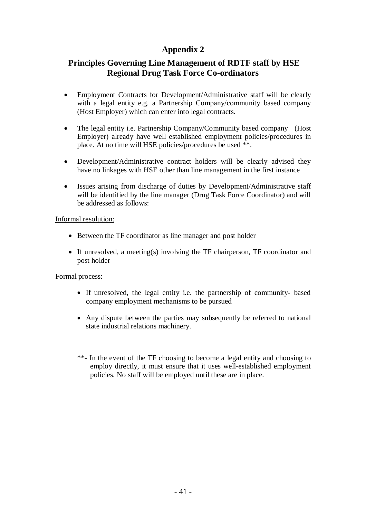# **Principles Governing Line Management of RDTF staff by HSE Regional Drug Task Force Co-ordinators**

- Employment Contracts for Development/Administrative staff will be clearly with a legal entity e.g. a Partnership Company/community based company (Host Employer) which can enter into legal contracts.
- The legal entity i.e. Partnership Company/Community based company (Host Employer) already have well established employment policies/procedures in place. At no time will HSE policies/procedures be used \*\*.
- Development/Administrative contract holders will be clearly advised they have no linkages with HSE other than line management in the first instance
- Issues arising from discharge of duties by Development/Administrative staff will be identified by the line manager (Drug Task Force Coordinator) and will be addressed as follows:

Informal resolution:

- Between the TF coordinator as line manager and post holder
- If unresolved, a meeting(s) involving the TF chairperson, TF coordinator and post holder

#### Formal process:

- If unresolved, the legal entity i.e. the partnership of community- based company employment mechanisms to be pursued
- Any dispute between the parties may subsequently be referred to national state industrial relations machinery.
- \*\*- In the event of the TF choosing to become a legal entity and choosing to employ directly, it must ensure that it uses well-established employment policies. No staff will be employed until these are in place.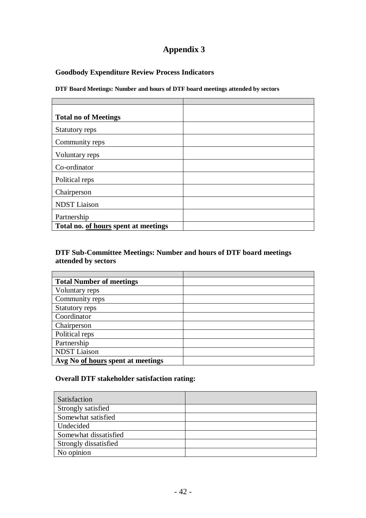### **Goodbody Expenditure Review Process Indicators**

**DTF Board Meetings: Number and hours of DTF board meetings attended by sectors**

| <b>Total no of Meetings</b>          |  |  |
|--------------------------------------|--|--|
|                                      |  |  |
| Statutory reps                       |  |  |
|                                      |  |  |
| Community reps                       |  |  |
| Voluntary reps                       |  |  |
|                                      |  |  |
| Co-ordinator                         |  |  |
|                                      |  |  |
| Political reps                       |  |  |
|                                      |  |  |
| Chairperson                          |  |  |
|                                      |  |  |
| <b>NDST</b> Liaison                  |  |  |
| Partnership                          |  |  |
|                                      |  |  |
| Total no. of hours spent at meetings |  |  |

#### **DTF Sub-Committee Meetings: Number and hours of DTF board meetings attended by sectors**

| <b>Total Number of meetings</b>   |  |
|-----------------------------------|--|
| Voluntary reps                    |  |
| Community reps                    |  |
| Statutory reps                    |  |
| Coordinator                       |  |
| Chairperson                       |  |
| Political reps                    |  |
| Partnership                       |  |
| <b>NDST</b> Liaison               |  |
| Avg No of hours spent at meetings |  |

#### **Overall DTF stakeholder satisfaction rating:**

| Satisfaction          |  |
|-----------------------|--|
| Strongly satisfied    |  |
| Somewhat satisfied    |  |
| Undecided             |  |
| Somewhat dissatisfied |  |
| Strongly dissatisfied |  |
| No opinion            |  |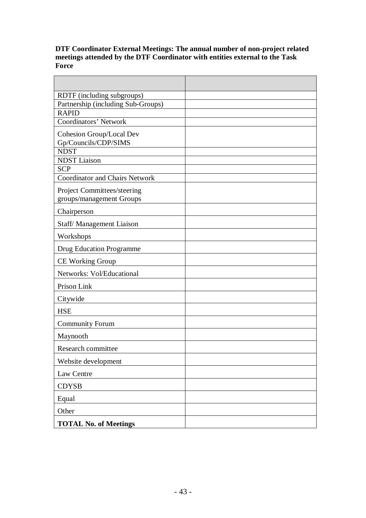#### **DTF Coordinator External Meetings: The annual number of non-project related meetings attended by the DTF Coordinator with entities external to the Task Force**

| RDTF (including subgroups)            |  |
|---------------------------------------|--|
| Partnership (including Sub-Groups)    |  |
| <b>RAPID</b>                          |  |
| Coordinators' Network                 |  |
| Cohesion Group/Local Dev              |  |
| Gp/Councils/CDP/SIMS                  |  |
| <b>NDST</b>                           |  |
| <b>NDST</b> Liaison                   |  |
| <b>SCP</b>                            |  |
| <b>Coordinator and Chairs Network</b> |  |
| Project Committees/steering           |  |
| groups/management Groups              |  |
| Chairperson                           |  |
| Staff/Management Liaison              |  |
| Workshops                             |  |
| <b>Drug Education Programme</b>       |  |
| <b>CE Working Group</b>               |  |
| Networks: Vol/Educational             |  |
| Prison Link                           |  |
| Citywide                              |  |
| <b>HSE</b>                            |  |
| <b>Community Forum</b>                |  |
| Maynooth                              |  |
| Research committee                    |  |
| Website development                   |  |
| Law Centre                            |  |
| <b>CDYSB</b>                          |  |
| Equal                                 |  |
| Other                                 |  |
| <b>TOTAL No. of Meetings</b>          |  |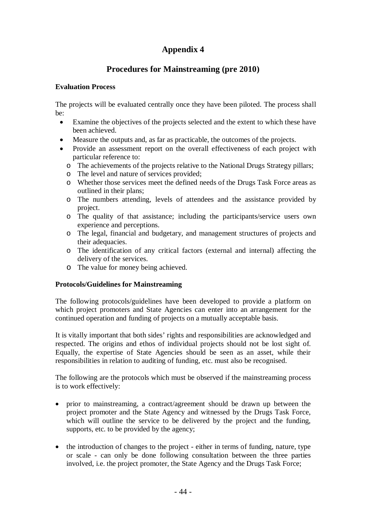# **Procedures for Mainstreaming (pre 2010)**

#### **Evaluation Process**

The projects will be evaluated centrally once they have been piloted. The process shall be:

- Examine the objectives of the projects selected and the extent to which these have been achieved.
- Measure the outputs and, as far as practicable, the outcomes of the projects.
- Provide an assessment report on the overall effectiveness of each project with particular reference to:
	- o The achievements of the projects relative to the National Drugs Strategy pillars;
	- o The level and nature of services provided;
	- o Whether those services meet the defined needs of the Drugs Task Force areas as outlined in their plans;
	- o The numbers attending, levels of attendees and the assistance provided by project.
	- o The quality of that assistance; including the participants/service users own experience and perceptions.
	- o The legal, financial and budgetary, and management structures of projects and their adequacies.
	- o The identification of any critical factors (external and internal) affecting the delivery of the services.
	- o The value for money being achieved.

#### **Protocols/Guidelines for Mainstreaming**

The following protocols/guidelines have been developed to provide a platform on which project promoters and State Agencies can enter into an arrangement for the continued operation and funding of projects on a mutually acceptable basis.

It is vitally important that both sides' rights and responsibilities are acknowledged and respected. The origins and ethos of individual projects should not be lost sight of. Equally, the expertise of State Agencies should be seen as an asset, while their responsibilities in relation to auditing of funding, etc. must also be recognised.

The following are the protocols which must be observed if the mainstreaming process is to work effectively:

- prior to mainstreaming, a contract/agreement should be drawn up between the project promoter and the State Agency and witnessed by the Drugs Task Force, which will outline the service to be delivered by the project and the funding, supports, etc. to be provided by the agency;
- the introduction of changes to the project either in terms of funding, nature, type or scale - can only be done following consultation between the three parties involved, i.e. the project promoter, the State Agency and the Drugs Task Force;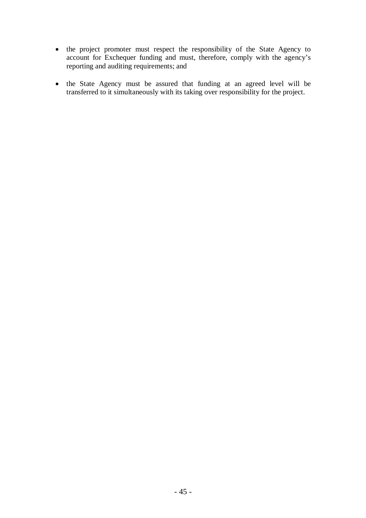- the project promoter must respect the responsibility of the State Agency to account for Exchequer funding and must, therefore, comply with the agency's reporting and auditing requirements; and
- the State Agency must be assured that funding at an agreed level will be transferred to it simultaneously with its taking over responsibility for the project.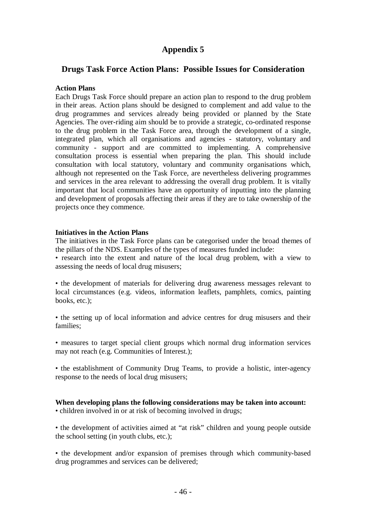### **Drugs Task Force Action Plans: Possible Issues for Consideration**

#### **Action Plans**

Each Drugs Task Force should prepare an action plan to respond to the drug problem in their areas. Action plans should be designed to complement and add value to the drug programmes and services already being provided or planned by the State Agencies. The over-riding aim should be to provide a strategic, co-ordinated response to the drug problem in the Task Force area, through the development of a single, integrated plan, which all organisations and agencies - statutory, voluntary and community - support and are committed to implementing. A comprehensive consultation process is essential when preparing the plan. This should include consultation with local statutory, voluntary and community organisations which, although not represented on the Task Force, are nevertheless delivering programmes and services in the area relevant to addressing the overall drug problem. It is vitally important that local communities have an opportunity of inputting into the planning and development of proposals affecting their areas if they are to take ownership of the projects once they commence.

#### **Initiatives in the Action Plans**

The initiatives in the Task Force plans can be categorised under the broad themes of the pillars of the NDS. Examples of the types of measures funded include:

• research into the extent and nature of the local drug problem, with a view to assessing the needs of local drug misusers;

• the development of materials for delivering drug awareness messages relevant to local circumstances (e.g. videos, information leaflets, pamphlets, comics, painting books, etc.);

• the setting up of local information and advice centres for drug misusers and their families;

• measures to target special client groups which normal drug information services may not reach (e.g. Communities of Interest.);

• the establishment of Community Drug Teams, to provide a holistic, inter-agency response to the needs of local drug misusers;

#### **When developing plans the following considerations may be taken into account:**

• children involved in or at risk of becoming involved in drugs;

• the development of activities aimed at "at risk" children and young people outside the school setting (in youth clubs, etc.);

• the development and/or expansion of premises through which community-based drug programmes and services can be delivered;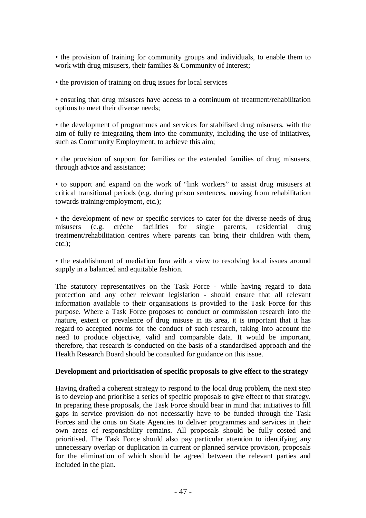• the provision of training for community groups and individuals, to enable them to work with drug misusers, their families & Community of Interest;

• the provision of training on drug issues for local services

• ensuring that drug misusers have access to a continuum of treatment/rehabilitation options to meet their diverse needs;

• the development of programmes and services for stabilised drug misusers, with the aim of fully re-integrating them into the community, including the use of initiatives, such as Community Employment, to achieve this aim;

• the provision of support for families or the extended families of drug misusers, through advice and assistance;

• to support and expand on the work of "link workers" to assist drug misusers at critical transitional periods (e.g. during prison sentences, moving from rehabilitation towards training/employment, etc.);

• the development of new or specific services to cater for the diverse needs of drug misusers (e.g. crèche facilities for single parents, residential drug treatment/rehabilitation centres where parents can bring their children with them, etc.);

• the establishment of mediation fora with a view to resolving local issues around supply in a balanced and equitable fashion.

The statutory representatives on the Task Force - while having regard to data protection and any other relevant legislation - should ensure that all relevant information available to their organisations is provided to the Task Force for this purpose. Where a Task Force proposes to conduct or commission research into the /nature, extent or prevalence of drug misuse in its area, it is important that it has regard to accepted norms for the conduct of such research, taking into account the need to produce objective, valid and comparable data. It would be important, therefore, that research is conducted on the basis of a standardised approach and the Health Research Board should be consulted for guidance on this issue.

#### **Development and prioritisation of specific proposals to give effect to the strategy**

Having drafted a coherent strategy to respond to the local drug problem, the next step is to develop and prioritise a series of specific proposals to give effect to that strategy. In preparing these proposals, the Task Force should bear in mind that initiatives to fill gaps in service provision do not necessarily have to be funded through the Task Forces and the onus on State Agencies to deliver programmes and services in their own areas of responsibility remains. All proposals should be fully costed and prioritised. The Task Force should also pay particular attention to identifying any unnecessary overlap or duplication in current or planned service provision, proposals for the elimination of which should be agreed between the relevant parties and included in the plan.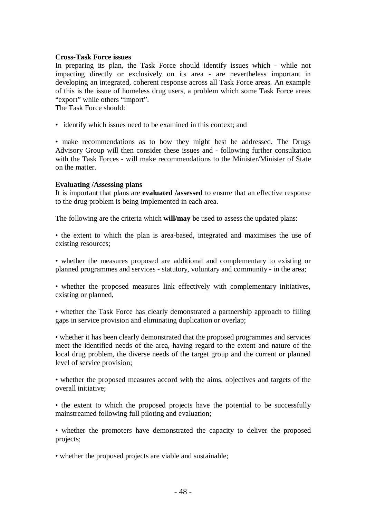#### **Cross-Task Force issues**

In preparing its plan, the Task Force should identify issues which - while not impacting directly or exclusively on its area - are nevertheless important in developing an integrated, coherent response across all Task Force areas. An example of this is the issue of homeless drug users, a problem which some Task Force areas "export" while others "import".

The Task Force should:

• identify which issues need to be examined in this context; and

• make recommendations as to how they might best be addressed. The Drugs Advisory Group will then consider these issues and - following further consultation with the Task Forces - will make recommendations to the Minister/Minister of State on the matter.

#### **Evaluating /Assessing plans**

It is important that plans are **evaluated /assessed** to ensure that an effective response to the drug problem is being implemented in each area.

The following are the criteria which **will/may** be used to assess the updated plans:

• the extent to which the plan is area-based, integrated and maximises the use of existing resources;

• whether the measures proposed are additional and complementary to existing or planned programmes and services - statutory, voluntary and community - in the area;

• whether the proposed measures link effectively with complementary initiatives, existing or planned,

• whether the Task Force has clearly demonstrated a partnership approach to filling gaps in service provision and eliminating duplication or overlap;

• whether it has been clearly demonstrated that the proposed programmes and services meet the identified needs of the area, having regard to the extent and nature of the local drug problem, the diverse needs of the target group and the current or planned level of service provision;

• whether the proposed measures accord with the aims, objectives and targets of the overall initiative;

• the extent to which the proposed projects have the potential to be successfully mainstreamed following full piloting and evaluation;

• whether the promoters have demonstrated the capacity to deliver the proposed projects;

• whether the proposed projects are viable and sustainable;